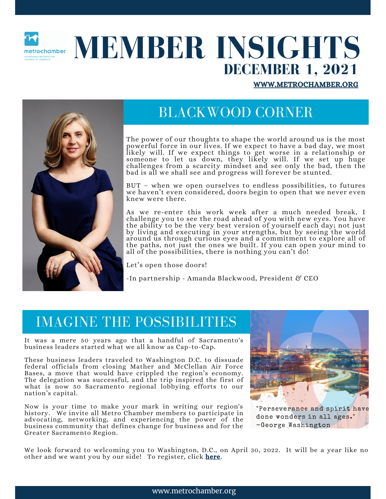

# **MEMBER INSIGHTS DECEMBER 1, 2021**

[WWW.METROCHAMBER.ORG](http://www.metrochamber.org/)



# BLACKWOOD CORNER

The power of our thoughts to shape the world around us is the most powerful force in our lives. If we expect to have a bad day, we most likely will. If we expect things to get worse in a relationship or someone to let us down, they likely will. If we set up huge challenges from a scarcity mindset and see only the bad, then the bad is all we shall see and progress will forever be stunted.

BUT – when we open ourselves to endless possibilities, to futures we haven't even considered, doors begin to open that we never even knew were there.

As we re-enter this work week after a much needed break, I challenge you to see the road ahead of you with new eyes. You have the ability to be the very best version of yourself each day; not just by living and executing in your strengths, but by seeing the world around us through curious eyes and a commitment to explore all of the paths, not just the ones we built. If you can open your mind to all of the possibilities, there is nothing you can't do!

Let's open those doors!

-In partnership - Amanda Blackwood, President & CEO

#### IMAGINE THE POSSIBILITIES

It was a mere 50 years ago that a handful of Sacramento's business leaders started what we all know as Cap-to-Cap.

These business leaders traveled to Washington D.C. to dissuade federal officials from closing Mather and McClellan Air Force Bases, a move that would have crippled the region's economy. The delegation was successful, and the trip inspired the first of what is now 50 Sacramento regional lobbying efforts to our nation's capital.

Now is your time to make your mark in writing our region's history. We invite all Metro Chamber members to participate in advocating, networking, and experiencing the power of the business community that defines change for business and for the Greater Sacramento Region.



"Perseverance and spirit have done wonders in all ages." -George Washington

We look forward to welcoming you to Washington, D.C., on April 30, 2022. It will be a year like no other and we want you by our side! To register, click [here](https://metrochamber.org/cap22/).